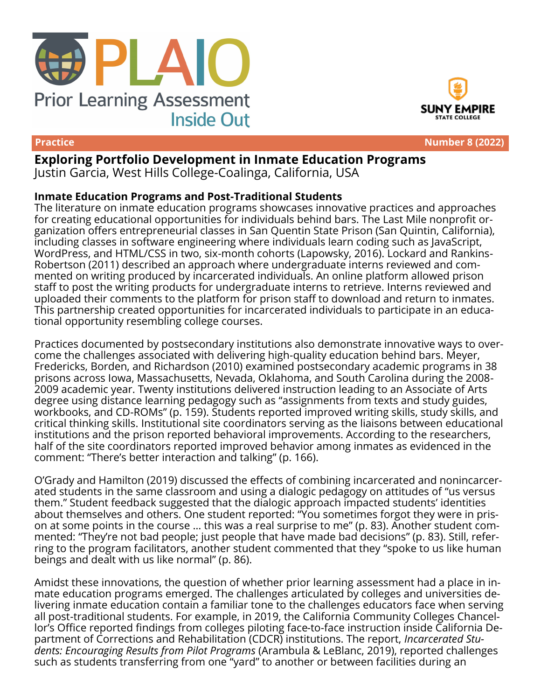





**Practice Number 8 (2022)**

# **Exploring Portfolio Development in Inmate Education Programs**

Justin Garcia, West Hills College-Coalinga, California, USA

# **Inmate Education Programs and Post-Traditional Students**

The literature on inmate education programs showcases innovative practices and approaches for creating educational opportunities for individuals behind bars. The Last Mile nonprofit organization offers entrepreneurial classes in San Quentin State Prison (San Quintin, California), including classes in software engineering where individuals learn coding such as JavaScript, WordPress, and HTML/CSS in two, six-month cohorts (Lapowsky, 2016). Lockard and Rankins-Robertson (2011) described an approach where undergraduate interns reviewed and commented on writing produced by incarcerated individuals. An online platform allowed prison staff to post the writing products for undergraduate interns to retrieve. Interns reviewed and uploaded their comments to the platform for prison staff to download and return to inmates. This partnership created opportunities for incarcerated individuals to participate in an educational opportunity resembling college courses.

Practices documented by postsecondary institutions also demonstrate innovative ways to overcome the challenges associated with delivering high-quality education behind bars. Meyer, Fredericks, Borden, and Richardson (2010) examined postsecondary academic programs in 38 prisons across Iowa, Massachusetts, Nevada, Oklahoma, and South Carolina during the 2008- 2009 academic year. Twenty institutions delivered instruction leading to an Associate of Arts degree using distance learning pedagogy such as "assignments from texts and study guides, workbooks, and CD-ROMs" (p. 159). Students reported improved writing skills, study skills, and critical thinking skills. Institutional site coordinators serving as the liaisons between educational institutions and the prison reported behavioral improvements. According to the researchers, half of the site coordinators reported improved behavior among inmates as evidenced in the comment: "There's better interaction and talking" (p. 166).

O'Grady and Hamilton (2019) discussed the effects of combining incarcerated and nonincarcerated students in the same classroom and using a dialogic pedagogy on attitudes of "us versus them." Student feedback suggested that the dialogic approach impacted students' identities about themselves and others. One student reported: "You sometimes forgot they were in prison at some points in the course … this was a real surprise to me" (p. 83). Another student commented: "They're not bad people; just people that have made bad decisions" (p. 83). Still, referring to the program facilitators, another student commented that they "spoke to us like human beings and dealt with us like normal" (p. 86).

Amidst these innovations, the question of whether prior learning assessment had a place in inmate education programs emerged. The challenges articulated by colleges and universities delivering inmate education contain a familiar tone to the challenges educators face when serving all post-traditional students. For example, in 2019, the California Community Colleges Chancellor's Office reported findings from colleges piloting face-to-face instruction inside California Department of Corrections and Rehabilitation (CDCR) institutions. The report, *Incarcerated Students: Encouraging Results from Pilot Programs* (Arambula & LeBlanc, 2019), reported challenges such as students transferring from one "yard" to another or between facilities during an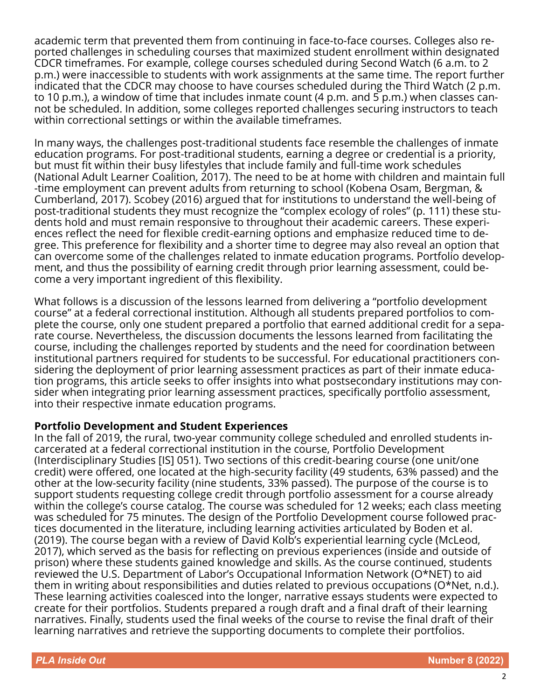academic term that prevented them from continuing in face-to-face courses. Colleges also reported challenges in scheduling courses that maximized student enrollment within designated CDCR timeframes. For example, college courses scheduled during Second Watch (6 a.m. to 2 p.m.) were inaccessible to students with work assignments at the same time. The report further indicated that the CDCR may choose to have courses scheduled during the Third Watch (2 p.m. to 10 p.m.), a window of time that includes inmate count (4 p.m. and 5 p.m.) when classes cannot be scheduled. In addition, some colleges reported challenges securing instructors to teach within correctional settings or within the available timeframes.

In many ways, the challenges post-traditional students face resemble the challenges of inmate education programs. For post-traditional students, earning a degree or credential is a priority, but must fit within their busy lifestyles that include family and full-time work schedules (National Adult Learner Coalition, 2017). The need to be at home with children and maintain full -time employment can prevent adults from returning to school (Kobena Osam, Bergman, & Cumberland, 2017). Scobey (2016) argued that for institutions to understand the well-being of post-traditional students they must recognize the "complex ecology of roles" (p. 111) these students hold and must remain responsive to throughout their academic careers. These experiences reflect the need for flexible credit-earning options and emphasize reduced time to degree. This preference for flexibility and a shorter time to degree may also reveal an option that can overcome some of the challenges related to inmate education programs. Portfolio development, and thus the possibility of earning credit through prior learning assessment, could become a very important ingredient of this flexibility.

What follows is a discussion of the lessons learned from delivering a "portfolio development course" at a federal correctional institution. Although all students prepared portfolios to complete the course, only one student prepared a portfolio that earned additional credit for a separate course. Nevertheless, the discussion documents the lessons learned from facilitating the course, including the challenges reported by students and the need for coordination between institutional partners required for students to be successful. For educational practitioners considering the deployment of prior learning assessment practices as part of their inmate education programs, this article seeks to offer insights into what postsecondary institutions may consider when integrating prior learning assessment practices, specifically portfolio assessment, into their respective inmate education programs.

### **Portfolio Development and Student Experiences**

In the fall of 2019, the rural, two-year community college scheduled and enrolled students incarcerated at a federal correctional institution in the course, Portfolio Development (Interdisciplinary Studies [IS] 051). Two sections of this credit-bearing course (one unit/one credit) were offered, one located at the high-security facility (49 students, 63% passed) and the other at the low-security facility (nine students, 33% passed). The purpose of the course is to support students requesting college credit through portfolio assessment for a course already within the college's course catalog. The course was scheduled for 12 weeks; each class meeting was scheduled for 75 minutes. The design of the Portfolio Development course followed practices documented in the literature, including learning activities articulated by Boden et al. (2019). The course began with a review of David Kolb's experiential learning cycle (McLeod, 2017), which served as the basis for reflecting on previous experiences (inside and outside of prison) where these students gained knowledge and skills. As the course continued, students reviewed the U.S. Department of Labor's Occupational Information Network (O\*NET) to aid them in writing about responsibilities and duties related to previous occupations (O\*Net, n.d.). These learning activities coalesced into the longer, narrative essays students were expected to create for their portfolios. Students prepared a rough draft and a final draft of their learning narratives. Finally, students used the final weeks of the course to revise the final draft of their learning narratives and retrieve the supporting documents to complete their portfolios.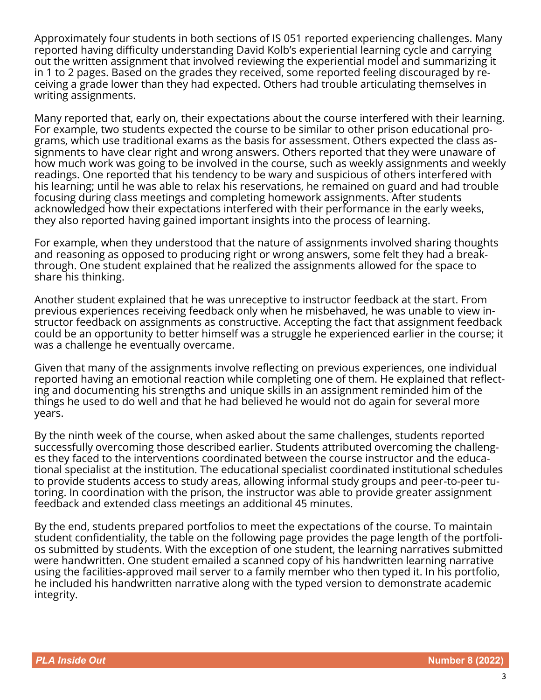Approximately four students in both sections of IS 051 reported experiencing challenges. Many reported having difficulty understanding David Kolb's experiential learning cycle and carrying out the written assignment that involved reviewing the experiential model and summarizing it in 1 to 2 pages. Based on the grades they received, some reported feeling discouraged by receiving a grade lower than they had expected. Others had trouble articulating themselves in writing assignments.

Many reported that, early on, their expectations about the course interfered with their learning. For example, two students expected the course to be similar to other prison educational programs, which use traditional exams as the basis for assessment. Others expected the class assignments to have clear right and wrong answers. Others reported that they were unaware of how much work was going to be involved in the course, such as weekly assignments and weekly readings. One reported that his tendency to be wary and suspicious of others interfered with his learning; until he was able to relax his reservations, he remained on guard and had trouble focusing during class meetings and completing homework assignments. After students acknowledged how their expectations interfered with their performance in the early weeks, they also reported having gained important insights into the process of learning.

For example, when they understood that the nature of assignments involved sharing thoughts and reasoning as opposed to producing right or wrong answers, some felt they had a breakthrough. One student explained that he realized the assignments allowed for the space to share his thinking.

Another student explained that he was unreceptive to instructor feedback at the start. From previous experiences receiving feedback only when he misbehaved, he was unable to view instructor feedback on assignments as constructive. Accepting the fact that assignment feedback could be an opportunity to better himself was a struggle he experienced earlier in the course; it was a challenge he eventually overcame.

Given that many of the assignments involve reflecting on previous experiences, one individual reported having an emotional reaction while completing one of them. He explained that reflecting and documenting his strengths and unique skills in an assignment reminded him of the things he used to do well and that he had believed he would not do again for several more years.

By the ninth week of the course, when asked about the same challenges, students reported successfully overcoming those described earlier. Students attributed overcoming the challenges they faced to the interventions coordinated between the course instructor and the educational specialist at the institution. The educational specialist coordinated institutional schedules to provide students access to study areas, allowing informal study groups and peer-to-peer tutoring. In coordination with the prison, the instructor was able to provide greater assignment feedback and extended class meetings an additional 45 minutes.

By the end, students prepared portfolios to meet the expectations of the course. To maintain student confidentiality, the table on the following page provides the page length of the portfolios submitted by students. With the exception of one student, the learning narratives submitted were handwritten. One student emailed a scanned copy of his handwritten learning narrative using the facilities-approved mail server to a family member who then typed it. In his portfolio, he included his handwritten narrative along with the typed version to demonstrate academic integrity.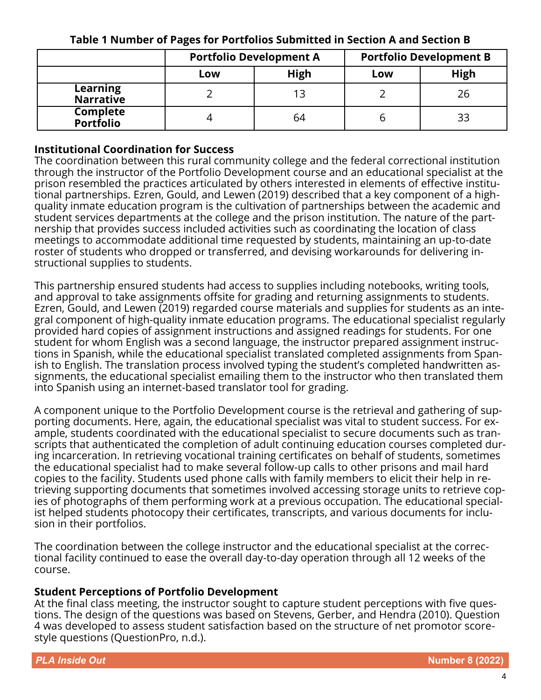|                                     | <b>Portfolio Development A</b> |             | <b>Portfolio Development B</b> |      |
|-------------------------------------|--------------------------------|-------------|--------------------------------|------|
|                                     | Low                            | <b>High</b> | Low                            | High |
| Learning<br><b>Narrative</b>        |                                |             |                                | 26   |
| <b>Complete</b><br><b>Portfolio</b> |                                | 64          |                                | 33   |

## **Table 1 Number of Pages for Portfolios Submitted in Section A and Section B**

## **Institutional Coordination for Success**

The coordination between this rural community college and the federal correctional institution through the instructor of the Portfolio Development course and an educational specialist at the prison resembled the practices articulated by others interested in elements of effective institutional partnerships. Ezren, Gould, and Lewen (2019) described that a key component of a highquality inmate education program is the cultivation of partnerships between the academic and student services departments at the college and the prison institution. The nature of the partnership that provides success included activities such as coordinating the location of class meetings to accommodate additional time requested by students, maintaining an up-to-date roster of students who dropped or transferred, and devising workarounds for delivering instructional supplies to students.

This partnership ensured students had access to supplies including notebooks, writing tools, and approval to take assignments offsite for grading and returning assignments to students. Ezren, Gould, and Lewen (2019) regarded course materials and supplies for students as an integral component of high-quality inmate education programs. The educational specialist regularly provided hard copies of assignment instructions and assigned readings for students. For one student for whom English was a second language, the instructor prepared assignment instructions in Spanish, while the educational specialist translated completed assignments from Spanish to English. The translation process involved typing the student's completed handwritten assignments, the educational specialist emailing them to the instructor who then translated them into Spanish using an internet-based translator tool for grading.

A component unique to the Portfolio Development course is the retrieval and gathering of supporting documents. Here, again, the educational specialist was vital to student success. For example, students coordinated with the educational specialist to secure documents such as transcripts that authenticated the completion of adult continuing education courses completed during incarceration. In retrieving vocational training certificates on behalf of students, sometimes the educational specialist had to make several follow-up calls to other prisons and mail hard copies to the facility. Students used phone calls with family members to elicit their help in retrieving supporting documents that sometimes involved accessing storage units to retrieve copies of photographs of them performing work at a previous occupation. The educational specialist helped students photocopy their certificates, transcripts, and various documents for inclusion in their portfolios.

The coordination between the college instructor and the educational specialist at the correctional facility continued to ease the overall day-to-day operation through all 12 weeks of the course.

### **Student Perceptions of Portfolio Development**

At the final class meeting, the instructor sought to capture student perceptions with five questions. The design of the questions was based on Stevens, Gerber, and Hendra (2010). Question 4 was developed to assess student satisfaction based on the structure of net promotor scorestyle questions (QuestionPro, n.d.).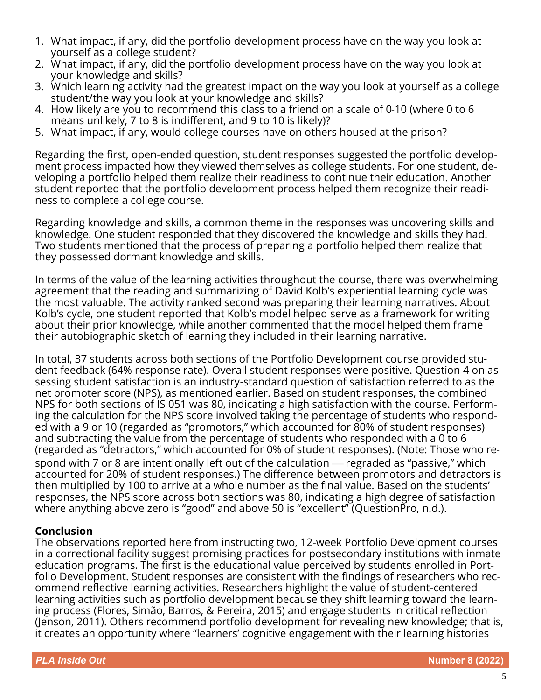- 1. What impact, if any, did the portfolio development process have on the way you look at yourself as a college student?
- 2. What impact, if any, did the portfolio development process have on the way you look at your knowledge and skills?
- 3. Which learning activity had the greatest impact on the way you look at yourself as a college student/the way you look at your knowledge and skills?
- 4. How likely are you to recommend this class to a friend on a scale of 0-10 (where 0 to 6 means unlikely, 7 to 8 is indifferent, and 9 to 10 is likely)?
- 5. What impact, if any, would college courses have on others housed at the prison?

Regarding the first, open-ended question, student responses suggested the portfolio development process impacted how they viewed themselves as college students. For one student, developing a portfolio helped them realize their readiness to continue their education. Another student reported that the portfolio development process helped them recognize their readiness to complete a college course.

Regarding knowledge and skills, a common theme in the responses was uncovering skills and knowledge. One student responded that they discovered the knowledge and skills they had. Two students mentioned that the process of preparing a portfolio helped them realize that they possessed dormant knowledge and skills.

In terms of the value of the learning activities throughout the course, there was overwhelming agreement that the reading and summarizing of David Kolb's experiential learning cycle was the most valuable. The activity ranked second was preparing their learning narratives. About Kolb's cycle, one student reported that Kolb's model helped serve as a framework for writing about their prior knowledge, while another commented that the model helped them frame their autobiographic sketch of learning they included in their learning narrative.

In total, 37 students across both sections of the Portfolio Development course provided student feedback (64% response rate). Overall student responses were positive. Question 4 on assessing student satisfaction is an industry-standard question of satisfaction referred to as the net promoter score (NPS), as mentioned earlier. Based on student responses, the combined NPS for both sections of IS 051 was 80, indicating a high satisfaction with the course. Performing the calculation for the NPS score involved taking the percentage of students who responded with a 9 or 10 (regarded as "promotors," which accounted for 80% of student responses) and subtracting the value from the percentage of students who responded with a 0 to 6 (regarded as "detractors," which accounted for 0% of student responses). (Note: Those who respond with 7 or 8 are intentionally left out of the calculation — regraded as "passive," which accounted for 20% of student responses.) The difference between promotors and detractors is then multiplied by 100 to arrive at a whole number as the final value. Based on the students' responses, the NPS score across both sections was 80, indicating a high degree of satisfaction where anything above zero is "good" and above 50 is "excellent" (QuestionPro, n.d.).

# **Conclusion**

The observations reported here from instructing two, 12-week Portfolio Development courses in a correctional facility suggest promising practices for postsecondary institutions with inmate education programs. The first is the educational value perceived by students enrolled in Portfolio Development. Student responses are consistent with the findings of researchers who recommend reflective learning activities. Researchers highlight the value of student-centered learning activities such as portfolio development because they shift learning toward the learning process (Flores, Simão, Barros, & Pereira, 2015) and engage students in critical reflection (Jenson, 2011). Others recommend portfolio development for revealing new knowledge; that is, it creates an opportunity where "learners' cognitive engagement with their learning histories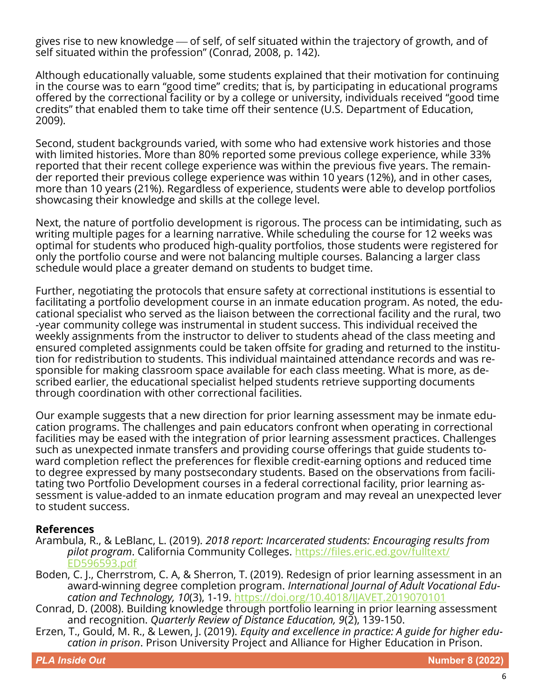gives rise to new knowledge — of self, of self situated within the trajectory of growth, and of self situated within the profession" (Conrad, 2008, p. 142).

Although educationally valuable, some students explained that their motivation for continuing in the course was to earn "good time" credits; that is, by participating in educational programs offered by the correctional facility or by a college or university, individuals received "good time credits" that enabled them to take time off their sentence (U.S. Department of Education, 2009).

Second, student backgrounds varied, with some who had extensive work histories and those with limited histories. More than 80% reported some previous college experience, while 33% reported that their recent college experience was within the previous five years. The remainder reported their previous college experience was within 10 years (12%), and in other cases, more than 10 years (21%). Regardless of experience, students were able to develop portfolios showcasing their knowledge and skills at the college level.

Next, the nature of portfolio development is rigorous. The process can be intimidating, such as writing multiple pages for a learning narrative. While scheduling the course for 12 weeks was optimal for students who produced high-quality portfolios, those students were registered for only the portfolio course and were not balancing multiple courses. Balancing a larger class schedule would place a greater demand on students to budget time.

Further, negotiating the protocols that ensure safety at correctional institutions is essential to facilitating a portfolio development course in an inmate education program. As noted, the educational specialist who served as the liaison between the correctional facility and the rural, two -year community college was instrumental in student success. This individual received the weekly assignments from the instructor to deliver to students ahead of the class meeting and ensured completed assignments could be taken offsite for grading and returned to the institution for redistribution to students. This individual maintained attendance records and was responsible for making classroom space available for each class meeting. What is more, as described earlier, the educational specialist helped students retrieve supporting documents through coordination with other correctional facilities.

Our example suggests that a new direction for prior learning assessment may be inmate education programs. The challenges and pain educators confront when operating in correctional facilities may be eased with the integration of prior learning assessment practices. Challenges such as unexpected inmate transfers and providing course offerings that guide students toward completion reflect the preferences for flexible credit-earning options and reduced time to degree expressed by many postsecondary students. Based on the observations from facilitating two Portfolio Development courses in a federal correctional facility, prior learning assessment is value-added to an inmate education program and may reveal an unexpected lever to student success.

### **References**

- Arambula, R., & LeBlanc, L. (2019). *2018 report: Incarcerated students: Encouraging results from pilot program*. California Community Colleges. [https://files.eric.ed.gov/fulltext/](https://files.eric.ed.gov/fulltext/ED596593.pdf) [ED596593.pdf](https://files.eric.ed.gov/fulltext/ED596593.pdf)
- Boden, C. J., Cherrstrom, C. A, & Sherron, T. (2019). Redesign of prior learning assessment in an award-winning degree completion program. *International Journal of Adult Vocational Education and Technology, 10*(3), 1-19.<https://doi.org/10.4018/IJAVET.2019070101>
- Conrad, D. (2008). Building knowledge through portfolio learning in prior learning assessment and recognition. *Quarterly Review of Distance Education, 9*(2), 139-150.
- Erzen, T., Gould, M. R., & Lewen, J. (2019). *Equity and excellence in practice: A guide for higher education in prison*. Prison University Project and Alliance for Higher Education in Prison.